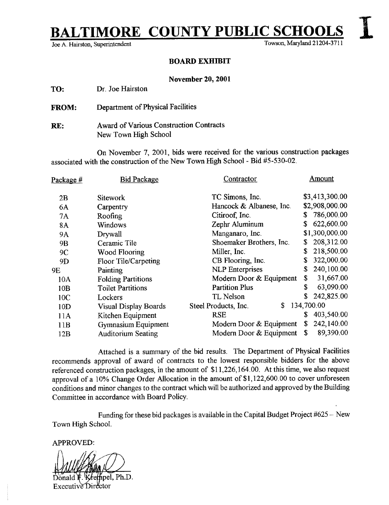# **FIMORE COUNTY PUBLIC SCHOOL**

Joe A. Hairston, Superintendent

Towson, Maryland 21204-3711

#### BOARD EXHIBIT

#### November 20, 2001

TO: Dr. Joe Hairston

FROM: Department of Physical Facilities

RE: Award of Various Construction Contracts New Town High School

On November 7, 2001, bids were received for the various construction packages associated with the construction of the New Town High School - Bid #5-530-02 .

| <u>Package #</u> | <b>Bid Package</b>           | Contractor                 | Amount           |
|------------------|------------------------------|----------------------------|------------------|
| 2B               | <b>Sitework</b>              | TC Simons, Inc.            | \$3,413,300.00   |
| 6A               | Carpentry                    | Hancock & Albanese, Inc.   | \$2,908,000.00   |
| 7A               | Roofing                      | Citiroof, Inc.             | 786,000.00<br>S  |
| <b>8A</b>        | Windows                      | Zephr Aluminum             | 622,600.00<br>\$ |
| <b>9A</b>        | Drywall                      | Manganaro, Inc.            | \$1,300,000.00   |
| 9B               | Ceramic Tile                 | Shoemaker Brothers, Inc.   | 208,312.00<br>\$ |
| 9C               | Wood Flooring                | Miller, Inc.               | 218,500.00<br>\$ |
| 9D               | Floor Tile/Carpeting         | CB Flooring, Inc.          | 322,000.00<br>S  |
| 9E               | Painting                     | <b>NLP</b> Enterprises     | 240,100.00<br>S  |
| 10A              | <b>Folding Partitions</b>    | Modern Door & Equipment    | 31,667.00<br>\$  |
| 10B              | <b>Toilet Partitions</b>     | <b>Partition Plus</b>      | 63,090.00<br>\$  |
| 10C              | Lockers                      | TL Nelson                  | 242,825.00<br>\$ |
| 10D              | <b>Visual Display Boards</b> | Steel Products, Inc.<br>S. | 134,700.00       |
| 11A              | Kitchen Equipment            | <b>RSE</b>                 | 403,540.00<br>\$ |
| 11B              | Gymnasium Equipment          | Modern Door & Equipment    | 242,140.00<br>\$ |
| 12B              | <b>Auditorium Seating</b>    | Modern Door & Equipment    | 89,390.00<br>\$  |
|                  |                              |                            |                  |

Attached is a summary of the bid results. The Department of Physical Facilities recommends approval of award of contracts to the lowest responsible bidders for the above referenced construction packages, in the amount of \$11,226,164.00. At this time, we also request approval of a 10% Change Order Allocation in the amount of \$1,122,600.00 to cover unforeseen conditions and minor changes to the contract which will be authorized and approved by the Building Committee in accordance with Board Policy.

Funding for these bid packages is available in the Capital Budget Project #625 - New Town High School.

APPROVED:

ipel. Ph.D.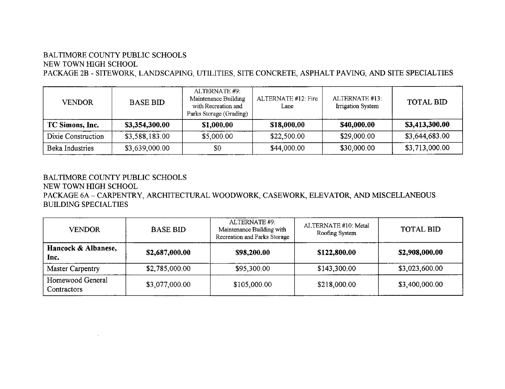# BALTIMORE COUNTY PUBLIC SCHOOLS NEW TOWN HIGH SCHOOL

PACKAGE 2B - SITEWORK, LANDSCAPING, UTILITIES, SITE CONCRETE, ASPHALT PAVING, AND SITE SPECIALTIES

| <b>VENDOR</b>      | <b>BASE BID</b> | ALTERNATE #9:<br>Maintenance Building<br>with Recreation and<br>Parks Storage (Grading) | ALTERNATE #12: Fire<br>Lane | ALTERNATE #13:<br>Irrigation System | <b>TOTAL BID</b> |
|--------------------|-----------------|-----------------------------------------------------------------------------------------|-----------------------------|-------------------------------------|------------------|
| TC Simons, Inc.    | \$3,354,300.00  | \$1,000.00                                                                              | \$18,000.00                 | \$40,000.00                         | \$3,413,300.00   |
| Dixie Construction | \$3,588,183.00  | \$5,000.00                                                                              | \$22,500.00                 | \$29,000.00                         | \$3,644,683.00   |
| Beka Industries    | \$3,639,000.00  | \$0                                                                                     | \$44,000.00                 | \$30,000.00                         | \$3,713,000.00   |

# BALTIMORE COUNTY PUBLIC SCHOOLS

NEW TOWN HIGH SCHOOL

PACKAGE 6A - CARPENTRY, ARCHITECTURAL WOODWORK, CASEWORK, ELEVATOR, AND MISCELLANEOUS BUILDING SPECIALTIES

| <b>BASE BID</b> | ALTERNATE #9:<br>Maintenance Building with<br>Recreation and Parks Storage | ALTERNATE #10: Metal<br>Roofing System | <b>TOTAL BID</b> |
|-----------------|----------------------------------------------------------------------------|----------------------------------------|------------------|
| \$2,687,000.00  | \$98,200.00                                                                | \$122,800.00                           | \$2,908,000.00   |
| \$2,785,000.00  | \$95,300.00                                                                | \$143,300.00                           | \$3,023,600.00   |
| \$3,077,000.00  | \$105,000.00                                                               | \$218,000.00                           | \$3,400,000.00   |
|                 |                                                                            |                                        |                  |
|                 |                                                                            |                                        |                  |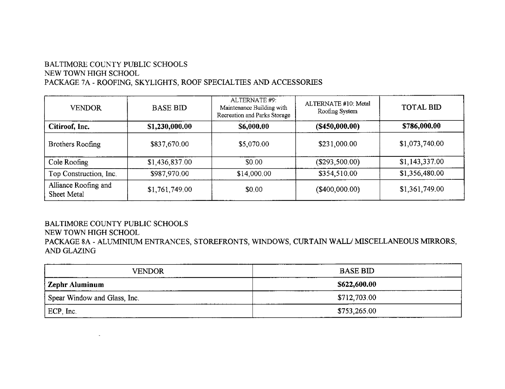# BALTIMORE COUNTY PUBLIC SCHOOLS NEW TOWN HIGH SCHOOL PACKAGE 7A - ROOFING, SKYLIGHTS, ROOF SPECIALTIES AND ACCESSORIES

 $\mathbf{r}$ 

| VENDOR                              | <b>BASE BID</b> | ALTERNATE #9:<br>Maintenance Building with<br>Recreation and Parks Storage | ALTERNATE #10: Metal<br>Roofing System | <b>TOTAL BID</b> |
|-------------------------------------|-----------------|----------------------------------------------------------------------------|----------------------------------------|------------------|
| Citiroof, Inc.                      | \$1,230,000.00  | \$6,000.00                                                                 | (S450,000.00)                          | \$786,000.00     |
| Brothers Roofing                    | \$837,670.00    | \$5,070.00                                                                 | \$231,000.00                           | \$1,073,740.00   |
| Cole Roofing                        | \$1,436,837.00  | \$0.00                                                                     | (\$293,500.00)                         | \$1,143,337.00   |
| Top Construction, Inc.              | \$987,970.00    | \$14,000.00                                                                | \$354,510.00                           | \$1,356,480.00   |
| Alliance Roofing and<br>Sheet Metal | \$1,761,749.00  | \$0.00                                                                     | (\$400,000.00)                         | \$1,361,749.00   |

## BALTIMORE COUNTY PUBLIC SCHOOLS NEW TOWN HIGH SCHOOL PACKAGE 8A - ALUMINIUM ENTRANCES, STOREFRONTS, WINDOWS, CURTAIN WALL/ MISCELLANEOUS MIRRORS, AND GLAZING

| <b>VENDOR</b>                 | <b>BASE BID</b> |  |  |
|-------------------------------|-----------------|--|--|
| Zephr Aluminum                | \$622,600.00    |  |  |
| Spear Window and Glass, Inc.  | \$712,703.00    |  |  |
| ________________<br>ECP, Inc. | \$753,265.00    |  |  |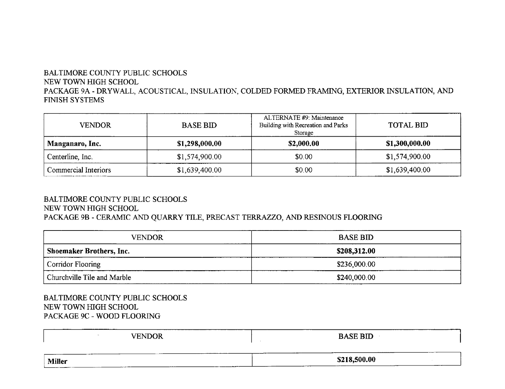# BALTIMORE COUNTY PUBLIC SCHOOLS NEW TOWN HIGH SCHOOL PACKAGE 9A - DRYWALL, ACOUSTICAL, INSULATION, COLDED FORMED FRAMING, EXTERIOR INSULATION, AND FINISH SYSTEMS

| <b>VENDOR</b>        | <b>BASE BID</b> | ALTERNATE #9: Maintenance<br>Building with Recreation and Parks<br>Storage | <b>TOTAL BID</b> |
|----------------------|-----------------|----------------------------------------------------------------------------|------------------|
| Manganaro, Inc.      | \$1,298,000,00  | \$2,000.00                                                                 | \$1,300,000.00   |
| Centerline, Inc.     | \$1,574,900.00  | \$0.00                                                                     | \$1,574,900.00   |
| Commercial Interiors | \$1,639,400.00  | \$0.00                                                                     | \$1,639,400.00   |

### BALTIMORE COUNTY PUBLIC SCHOOLS NEW TOWN HIGH SCHOOL PACKAGE 9B - CERAMIC AND QUARRY TILE, PRECAST TERRAZZO, AND RESINOUS FLOORING

| <b>VENDOR</b>                   | <b>BASE BID</b> |  |  |
|---------------------------------|-----------------|--|--|
| <b>Shoemaker Brothers, Inc.</b> | \$208,312.00    |  |  |
| Corridor Flooring               | \$236,000.00    |  |  |
| Churchville Tile and Marble     | \$240,000.00    |  |  |

BALTIMORE COUNTY PUBLIC SCHOOLS NEW TOWN HIGH SCHOOL PACKAGE 9C - WOOD FLOORING

| <b>VENDOR</b>                    | ---------<br><b>BASE BID</b> |
|----------------------------------|------------------------------|
| <b>Miller</b><br>----<br>_______ | \$218,500.00<br>-----        |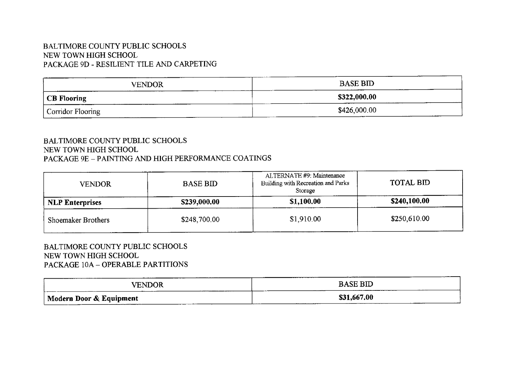# BALTIMORE COUNTY PUBLIC SCHOOLS NEW TOWN HIGH SCHOOL PACKAGE 9D - RESILIENT TILE AND CARPETING

| <b>VENDOR</b>     | <b>BASE BID</b><br>____ |
|-------------------|-------------------------|
| CB Flooring       | \$322,000.00            |
| Corridor Flooring | \$426,000.00            |

#### BALTIMORE COUNTY PUBLIC SCHOOLS NEW TOWN HIGH SCHOOL PACKAGE 9E - PAINTING AND HIGH PERFORMANCE COATINGS

| <b>VENDOR</b>          | <b>BASE BID</b> | ALTERNATE #9: Maintenance<br>Building with Recreation and Parks<br>Storage | TOTAL BID    |
|------------------------|-----------------|----------------------------------------------------------------------------|--------------|
| <b>NLP Enterprises</b> | \$239,000.00    | \$1,100.00                                                                 | \$240,100.00 |
| Shoemaker Brothers     | \$248,700.00    | \$1,910.00                                                                 | \$250,610.00 |

#### BALTIMORE COUNTY PUBLIC SCHOOLS NEW TOWN HIGH SCHOOL PACKAGE 10A - OPERABLE PARTITIONS

| ----------<br><b>VENDOR</b> | <b>BASE BID</b> |
|-----------------------------|-----------------|
| Modern Door & Equipment     | \$31,667.00     |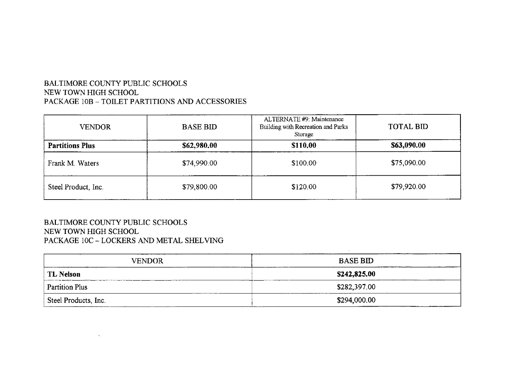# BALTIMORE COUNTY PUBLIC SCHOOLS NEW TOWN HIGH SCHOOL PACKAGE 10B - TOILET PARTITIONS AND ACCESSORIES

| <b>VENDOR</b>          | <b>BASE BID</b> | ALTERNATE #9: Maintenance<br>Building with Recreation and Parks<br>Storage | <b>TOTAL BID</b> |
|------------------------|-----------------|----------------------------------------------------------------------------|------------------|
| <b>Partitions Plus</b> | \$62,980.00     | \$110,00                                                                   | \$63,090.00      |
| Frank M. Waters        | \$74,990.00     | \$100.00                                                                   | \$75,090.00      |
| Steel Product, Inc.    | \$79,800.00     | \$120.00                                                                   | \$79,920.00      |

### BALTIMORE COUNTY PUBLIC SCHOOLS NEW TOWN HIGH SCHOOL PACKAGE 10C - LOCKERS AND METAL SHELVING

 $\sim$ 

| <b>VENDOR</b>         | <b>BASE BID</b> |
|-----------------------|-----------------|
| <b>TL Nelson</b>      | \$242,825.00    |
| <b>Partition Plus</b> | \$282,397.00    |
| Steel Products, Inc.  | \$294,000.00    |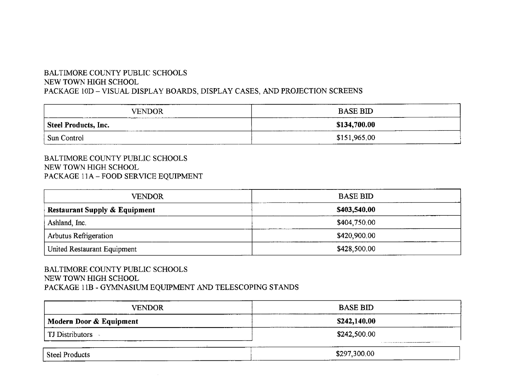# BALTIMORE COUNTY PUBLIC SCHOOLS NEW TOWN HIGH SCHOOL PACKAGE 10D - VISUAL DISPLAY BOARDS, DISPLAY CASES, AND PROJECTION SCREENS

| <b>VENDOR</b>            | <b>BASE BID</b> |
|--------------------------|-----------------|
| Steel Products, Inc.     | \$134,700.00    |
| <sup>1</sup> Sun Control | \$151,965.00    |

#### BALTIMORE COUNTY PUBLIC SCHOOLS NEW TOWN HIGH SCHOOL PACKAGE 11A - FOOD SERVICE EQUIPMENT

| <b>VENDOR</b>                            | <b>BASE BID</b> |
|------------------------------------------|-----------------|
| <b>Restaurant Supply &amp; Equipment</b> | \$403,540.00    |
| Ashland, Inc.                            | \$404,750,00    |
| <b>Arbutus Refrigeration</b>             | \$420,900.00    |
| United Restaurant Equipment              | \$428,500.00    |

### BALTIMORE COUNTY PUBLIC SCHOOLS NEW TOWN HIGH SCHOOL PACKAGE 11B - GYMNASIUM EQUIPMENT AND TELESCOPING STANDS

| <b>VENDOR</b>           | <b>BASE BID</b>                                                                                                                                |
|-------------------------|------------------------------------------------------------------------------------------------------------------------------------------------|
| Modern Door & Equipment | \$242,140.00                                                                                                                                   |
| TJ Distributors         | \$242,500.00<br>The company company appropriate company presented parameters are seen assumptions that accounts the form of the company of the |
| .<br>Steel Products     | \$297,300.00                                                                                                                                   |